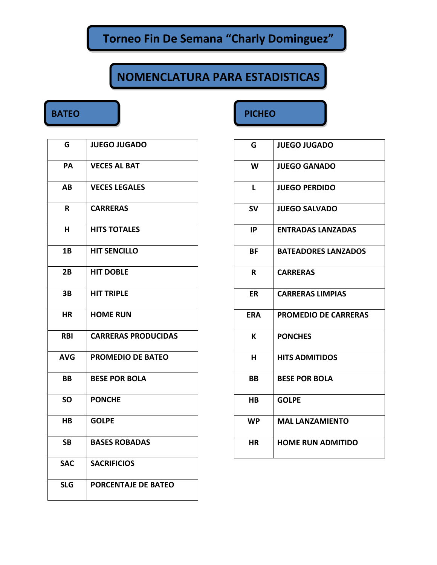## **Torneo Fin De Semana "Charly Dominguez"**

#### **NOMENCLATURA PARA ESTADISTICAS**

| G          | <b>JUEGO JUGADO</b>        |
|------------|----------------------------|
| PA         | <b>VECES AL BAT</b>        |
| AB         | <b>VECES LEGALES</b>       |
| R          | <b>CARRERAS</b>            |
| H          | <b>HITS TOTALES</b>        |
| 1B         | <b>HIT SENCILLO</b>        |
| 2B         | <b>HIT DOBLE</b>           |
| 3B         | <b>HIT TRIPLE</b>          |
| <b>HR</b>  | <b>HOME RUN</b>            |
| <b>RBI</b> | <b>CARRERAS PRODUCIDAS</b> |
| <b>AVG</b> | <b>PROMEDIO DE BATEO</b>   |
| BB         | <b>BESE POR BOLA</b>       |
| <b>SO</b>  | <b>PONCHE</b>              |
| HB         | <b>GOLPE</b>               |
| <b>SB</b>  | <b>BASES ROBADAS</b>       |
| <b>SAC</b> | <b>SACRIFICIOS</b>         |
| <b>SLG</b> | PORCENTAJE DE BATEO        |

**BATEO** PICHEO

| G          | <b>JUEGO JUGADO</b>         |
|------------|-----------------------------|
| W          | <b>JUEGO GANADO</b>         |
| L          | <b>JUEGO PERDIDO</b>        |
| <b>SV</b>  | <b>JUEGO SALVADO</b>        |
| IP.        | <b>ENTRADAS LANZADAS</b>    |
| <b>BF</b>  | <b>BATEADORES LANZADOS</b>  |
| R          | <b>CARRERAS</b>             |
| <b>ER</b>  | <b>CARRERAS LIMPIAS</b>     |
| <b>ERA</b> | <b>PROMEDIO DE CARRERAS</b> |
| К          | <b>PONCHES</b>              |
| н          | <b>HITS ADMITIDOS</b>       |
| BB         | <b>BESE POR BOLA</b>        |
| HВ         | <b>GOLPE</b>                |
| <b>WP</b>  | <b>MAL LANZAMIENTO</b>      |
| <b>HR</b>  | <b>HOME RUN ADMITIDO</b>    |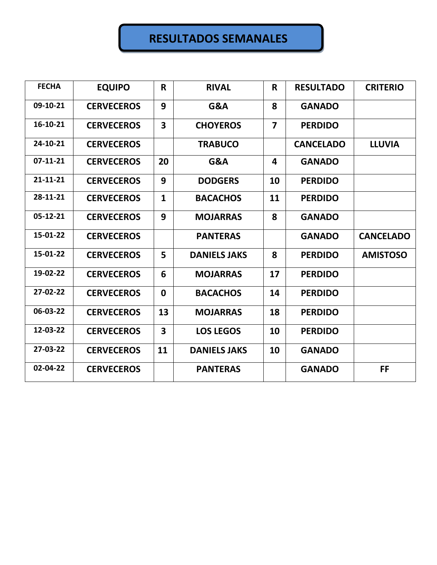### **RESULTADOS SEMANALES**

| <b>FECHA</b>   | <b>EQUIPO</b>     | R                       | <b>RIVAL</b>        | R                       | <b>RESULTADO</b> | <b>CRITERIO</b>  |
|----------------|-------------------|-------------------------|---------------------|-------------------------|------------------|------------------|
| 09-10-21       | <b>CERVECEROS</b> | 9                       | G&A                 | 8                       | <b>GANADO</b>    |                  |
| 16-10-21       | <b>CERVECEROS</b> | $\overline{\mathbf{3}}$ | <b>CHOYEROS</b>     | $\overline{\mathbf{z}}$ | <b>PERDIDO</b>   |                  |
| 24-10-21       | <b>CERVECEROS</b> |                         | <b>TRABUCO</b>      |                         | <b>CANCELADO</b> | <b>LLUVIA</b>    |
| $07 - 11 - 21$ | <b>CERVECEROS</b> | 20                      | G&A                 | 4                       | <b>GANADO</b>    |                  |
| $21 - 11 - 21$ | <b>CERVECEROS</b> | 9                       | <b>DODGERS</b>      | 10                      | <b>PERDIDO</b>   |                  |
| 28-11-21       | <b>CERVECEROS</b> | $\mathbf{1}$            | <b>BACACHOS</b>     | 11                      | <b>PERDIDO</b>   |                  |
| $05 - 12 - 21$ | <b>CERVECEROS</b> | 9                       | <b>MOJARRAS</b>     | 8                       | <b>GANADO</b>    |                  |
| 15-01-22       | <b>CERVECEROS</b> |                         | <b>PANTERAS</b>     |                         | <b>GANADO</b>    | <b>CANCELADO</b> |
| 15-01-22       | <b>CERVECEROS</b> | 5                       | <b>DANIELS JAKS</b> | 8                       | <b>PERDIDO</b>   | <b>AMISTOSO</b>  |
| 19-02-22       | <b>CERVECEROS</b> | 6                       | <b>MOJARRAS</b>     | 17                      | <b>PERDIDO</b>   |                  |
| $27 - 02 - 22$ | <b>CERVECEROS</b> | $\mathbf 0$             | <b>BACACHOS</b>     | 14                      | <b>PERDIDO</b>   |                  |
| 06-03-22       | <b>CERVECEROS</b> | 13                      | <b>MOJARRAS</b>     | 18                      | <b>PERDIDO</b>   |                  |
| 12-03-22       | <b>CERVECEROS</b> | $\overline{\mathbf{3}}$ | <b>LOS LEGOS</b>    | 10                      | <b>PERDIDO</b>   |                  |
| 27-03-22       | <b>CERVECEROS</b> | 11                      | <b>DANIELS JAKS</b> | 10                      | <b>GANADO</b>    |                  |
| 02-04-22       | <b>CERVECEROS</b> |                         | <b>PANTERAS</b>     |                         | <b>GANADO</b>    | <b>FF</b>        |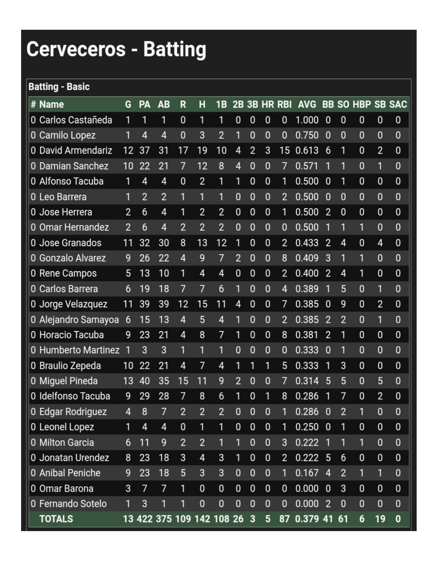# **Cerveceros - Batting**

| Datung - Dasic      |                |                 |                             |                |                |                |                |                |                |                |            |                |                |                         |                |              |
|---------------------|----------------|-----------------|-----------------------------|----------------|----------------|----------------|----------------|----------------|----------------|----------------|------------|----------------|----------------|-------------------------|----------------|--------------|
| # Name              | G              | PA              | AB                          | R              | H              | 1B             |                |                |                | 2B 3B HR RBI   | <b>AVG</b> |                |                | <b>BB SO HBP SB SAC</b> |                |              |
| 0 Carlos Castañeda  | 1              | 1               | 1                           | 0              | 1              | 1              | 0              | 0              | 0              | 0              | 1.000      | 0              | 0              | 0                       | 0              | 0            |
| 0 Camilo Lopez      | 1              | $\overline{4}$  | 4                           | 0              | 3              | $\overline{2}$ |                | $\mathbf{0}$   | $\mathbf{0}$   | 0              | 0.750      | $\mathbf 0$    | 0              | 0                       | $\mathbf{0}$   | $\mathbf{0}$ |
| 0 David Armendariz  | 12             | 37              | 31                          | 17             | 19             | 10             | 4              | $\overline{2}$ | 3              | 15             | 0.613      | 6              | 1              | 0                       | $\overline{2}$ | $\mathbf 0$  |
| 0 Damian Sanchez    | 10             | 22              | 21                          | 7              | 12             | 8              | 4              | $\mathbf{0}$   | 0              | 7              | 0.571      |                | 1              | 0                       | 1              | $\mathbf{0}$ |
| 0 Alfonso Tacuba    | 1              | 4               | 4                           | 0              | $\overline{2}$ | 1              | 1              | 0              | 0              | 1              | 0.500      | $\mathbf{0}$   | 1              | 0                       | 0              | 0            |
| 0 Leo Barrera       | 1              | $\overline{2}$  | $\overline{2}$              | 1              | 1              | 1              | 0              | $\overline{0}$ | $\mathbf 0$    | $\overline{2}$ | 0.500      | 0              | 0              | 0                       | $\mathbf 0$    | $\mathbf{0}$ |
| 0 Jose Herrera      | $\overline{2}$ | 6               | 4                           | 1              | $\overline{2}$ | 2              | 0              | $\mathbf{0}$   | 0              | 1              | 0.500      | $\overline{2}$ | 0              | 0                       | 0              | $\mathbf{0}$ |
| 0 Omar Hernandez    | $\overline{2}$ | $6\phantom{1}6$ | 4                           | $\overline{2}$ | $\overline{2}$ | $\overline{2}$ | 0              | $\overline{0}$ | $\overline{0}$ | 0              | 0.500      |                | 1              |                         | $\mathbf{0}$   | $\mathbf{0}$ |
| 0 Jose Granados     | 11             | 32              | 30                          | 8              | 13             | 12             | 1              | 0              | 0              | $\overline{2}$ | 0.433      | $\overline{2}$ | 4              | 0                       | 4              | $\mathbf{0}$ |
| 0 Gonzalo Alvarez   | 9              | 26              | 22                          | 4              | 9              | 7              | $\overline{2}$ | $\mathbf{0}$   | $\overline{0}$ | 8              | 0.409      | 3              | 1              | ป                       | $\mathbf{0}$   | $\mathbf{0}$ |
| 0 Rene Campos       | 5              | 13              | 10                          | 1              | 4              | 4              | 0              | 0              | $\overline{0}$ | $\overline{2}$ | 0.400      | $\overline{2}$ | 4              | 1                       | 0              | 0            |
| 0 Carlos Barrera    | 6              | 19              | 18                          | 7              | 7              | $\mathbf 6$    | 1              | $\overline{0}$ | $\overline{0}$ | 4              | 0.389      | 1              | 5              | 0                       | 1              | $\mathbf{0}$ |
| 0 Jorge Velazquez   | 11             | 39              | 39                          | 12             | 15             | 11             | 4              | $\overline{0}$ | $\overline{0}$ | 7              | 0.385      | $\mathbf 0$    | 9              | 0                       | $\overline{2}$ | $\mathbf{0}$ |
| 0 Alejandro Samayoa | 6              | 15              | 13                          | 4              | 5              | 4              | 1              | $\mathbf{0}$   | $\mathbf 0$    | $\overline{2}$ | 0.385      | $\overline{2}$ | $\overline{2}$ | $\overline{0}$          | 1              | $\mathbf{0}$ |
| 0 Horacio Tacuba    | 9              | 23              | 21                          | 4              | 8              | 7              | 1              | $\mathbf{0}$   | $\mathbf{0}$   | 8              | 0.381      | $\overline{2}$ | 1              | 0                       | $\mathbf{0}$   | $\mathbf 0$  |
| 0 Humberto Martinez | 1              | 3               | 3                           | 1              | 1              |                | 0              | $\mathbf{0}$   | $\overline{0}$ | 0              | 0.333      | $\mathbf 0$    | 1              | 0                       | $\mathbf 0$    | $\mathbf{0}$ |
| 0 Braulio Zepeda    | 10             | 22              | 21                          | 4              | 7              | 4              | 1              | 1              | 1              | 5              | 0.333      | 1              | 3              | 0                       | 0              | 0            |
| 0 Miguel Pineda     | 13             | 40              | 35                          | 15             | 11             | 9              | $\overline{2}$ | $\overline{0}$ | $\mathbf 0$    | 7              | 0.314      | 5              | 5              | 0                       | 5              | $\mathbf{0}$ |
| 0 Idelfonso Tacuba  | 9              | 29              | 28                          | 7              | 8              | 6              | 1              | $\mathbf 0$    | 1              | 8              | 0.286      | 1              | 7              | 0                       | $\overline{2}$ | 0            |
| 0 Edgar Rodriguez   | 4              | 8               | 7                           | $\overline{2}$ | $\overline{2}$ | $\overline{2}$ | 0              | 0              | $\mathbf{0}$   |                | 0.286      | $\mathbf{0}$   | $\overline{2}$ |                         | 0              | $\mathbf{0}$ |
| 0 Leonel Lopez      | 1              | 4               | 4                           | 0              | 1              | 1              | 0              | 0              | $\mathbf 0$    | 1              | 0.250      | $\mathbf{0}$   | 1              | 0                       | 0              | 0            |
| 0 Milton Garcia     | 6              | 11              | 9                           | $\overline{2}$ | $\overline{2}$ | 1              | 1              | $\mathbf{0}$   | $\mathbf{0}$   | 3              | 0.222      | - 1            | 1              | 1                       | $\mathbf{0}$   | $\mathbf{0}$ |
| 0 Jonatan Urendez   | 8              | 23              | 18                          | 3              | 4              | 3              | 1              | 0              | $\mathbf{0}$   | $\overline{2}$ | $0.222$ 5  |                | 6              | 0                       | 0              | 0            |
| 0 Anibal Peniche    | 9              | 23              | 18                          | 5              | 3              | 3              | $\bf{0}$       | 0              | 0              | 1              | 0.1674     |                | $\overline{2}$ | 1                       | 1              | $\mathbf{0}$ |
| 0 Omar Barona       | 3              | 7               | 7                           | 1              | 0              | 0              | 0              | 0              | $\mathbf 0$    | 0              | 0.000      | $\mathbf{0}$   | 3              | 0                       | 0              | 0            |
| 0 Fernando Sotelo   | $\mathbf{1}$   | 3               | 1                           | 1              | 0              | $\bf{0}$       | 0              | $\mathbf{0}$   | $\mathbf{0}$   | 0              | 0.000      | $\overline{2}$ | 0              | 0                       | $\bf{0}$       | $\mathbf{0}$ |
| <b>TOTALS</b>       |                |                 | 13 422 375 109 142 108 26 3 |                |                |                |                |                | 5              | 87             | 0.379 41   |                | 61             | 6                       | 19             | 0            |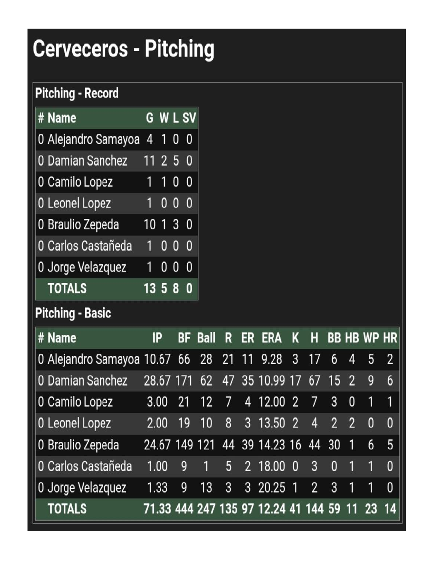# **Cerveceros - Pitching**

# **Pitching - Record**

| # Name                    | G      |                       | W L SV         |             |    |           |                                               |                |    |                |                 |                    |   |
|---------------------------|--------|-----------------------|----------------|-------------|----|-----------|-----------------------------------------------|----------------|----|----------------|-----------------|--------------------|---|
| 0 Alejandro Samayoa       | 4      | 1                     | 0 <sub>0</sub> |             |    |           |                                               |                |    |                |                 |                    |   |
| 0 Damian Sanchez          | 11     | $\mathbf{2}^{\prime}$ | 5 0            |             |    |           |                                               |                |    |                |                 |                    |   |
| 0 Camilo Lopez            | 1      | 1                     | 0 <sub>0</sub> |             |    |           |                                               |                |    |                |                 |                    |   |
| 0 Leonel Lopez            | 1      | 0                     | 0<br>-0        |             |    |           |                                               |                |    |                |                 |                    |   |
| 0 Braulio Zepeda          | 10 1   |                       | 30             |             |    |           |                                               |                |    |                |                 |                    |   |
| 0 Carlos Castañeda        |        | 0                     | 0<br>0         |             |    |           |                                               |                |    |                |                 |                    |   |
| 0 Jorge Velazquez         | 1      | 0                     | 0<br>- 0       |             |    |           |                                               |                |    |                |                 |                    |   |
| <b>TOTALS</b>             | 13 5 8 |                       | $\bullet$      |             |    |           |                                               |                |    |                |                 |                    |   |
| Pitching - Basic          |        |                       |                |             |    |           |                                               |                |    |                |                 |                    |   |
| # Name                    | IP     |                       | ΒF             | <b>Ball</b> | R  | <b>ER</b> | <b>ERA</b>                                    | K              | Н  |                |                 | <b>BB HB WP HR</b> |   |
| 0 Alejandro Samayoa 10.67 |        |                       | 66             | 28          | 21 | 11        | 9.28                                          | 3              | 17 | 6              | 4               | 5                  | 2 |
| 0 Damian Sanchez          |        |                       | 28.67 171      | 62          | 47 |           | 35 10.99                                      | 17             | 67 | 15             | $\overline{2}$  | 9                  | 6 |
| 0 Camilo Lopez            | 3.00   |                       | 21             | 12          | 7  | 4         | 12.00                                         | $\overline{2}$ | 7  | 3              | 0               | 1                  | 1 |
| 0 Leonel Lopez            | 2.00   |                       | 19             | 10          | 8  | 3         | 13.50                                         | $\overline{2}$ | 4  | $\overline{2}$ | $\overline{2}$  | 0                  | 0 |
| 0 Braulio Zepeda          |        |                       |                |             |    |           | 24.67 149 121 44 39 14.23 16 44 30            |                |    |                | $\blacklozenge$ | 6                  | 5 |
| 0 Carlos Castañeda        | 1.00   |                       | 9              | 1           | 5  |           | 2, 18.00, 0                                   |                | 3  | 0              | 1               | 1                  | 0 |
| 0 Jorge Velazquez         | 1.33   |                       | 9              | 13          | 3  |           | 3 20.25 1                                     |                | 2  | 3              | 1               | 1                  | 0 |
| <b>TOTALS</b>             |        |                       |                |             |    |           | 71.33 444 247 135 97 12.24 41 144 59 11 23 14 |                |    |                |                 |                    |   |